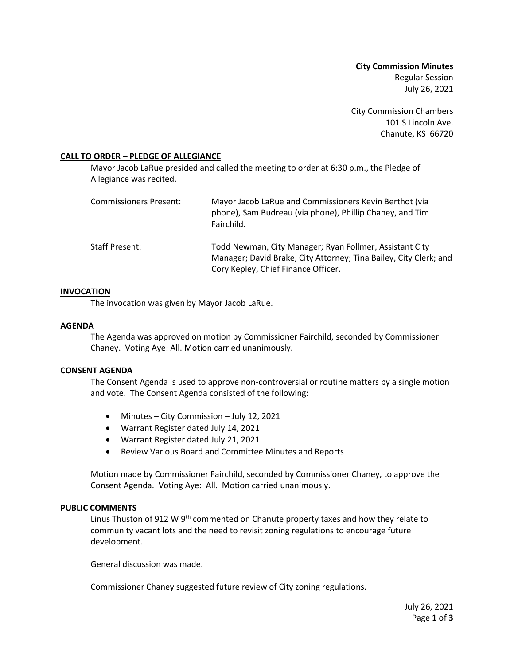**City Commission Minutes** Regular Session July 26, 2021

City Commission Chambers 101 S Lincoln Ave. Chanute, KS 66720

# **CALL TO ORDER – PLEDGE OF ALLEGIANCE**

Mayor Jacob LaRue presided and called the meeting to order at 6:30 p.m., the Pledge of Allegiance was recited.

| Commissioners Present: | Mayor Jacob LaRue and Commissioners Kevin Berthot (via<br>phone), Sam Budreau (via phone), Phillip Chaney, and Tim<br>Fairchild.                                    |
|------------------------|---------------------------------------------------------------------------------------------------------------------------------------------------------------------|
| Staff Present:         | Todd Newman, City Manager; Ryan Follmer, Assistant City<br>Manager; David Brake, City Attorney; Tina Bailey, City Clerk; and<br>Cory Kepley, Chief Finance Officer. |

## **INVOCATION**

The invocation was given by Mayor Jacob LaRue.

# **AGENDA**

The Agenda was approved on motion by Commissioner Fairchild, seconded by Commissioner Chaney. Voting Aye: All. Motion carried unanimously.

## **CONSENT AGENDA**

The Consent Agenda is used to approve non-controversial or routine matters by a single motion and vote. The Consent Agenda consisted of the following:

- Minutes City Commission July 12, 2021
- Warrant Register dated July 14, 2021
- Warrant Register dated July 21, 2021
- Review Various Board and Committee Minutes and Reports

Motion made by Commissioner Fairchild, seconded by Commissioner Chaney, to approve the Consent Agenda. Voting Aye: All. Motion carried unanimously.

## **PUBLIC COMMENTS**

Linus Thuston of 912 W 9<sup>th</sup> commented on Chanute property taxes and how they relate to community vacant lots and the need to revisit zoning regulations to encourage future development.

General discussion was made.

Commissioner Chaney suggested future review of City zoning regulations.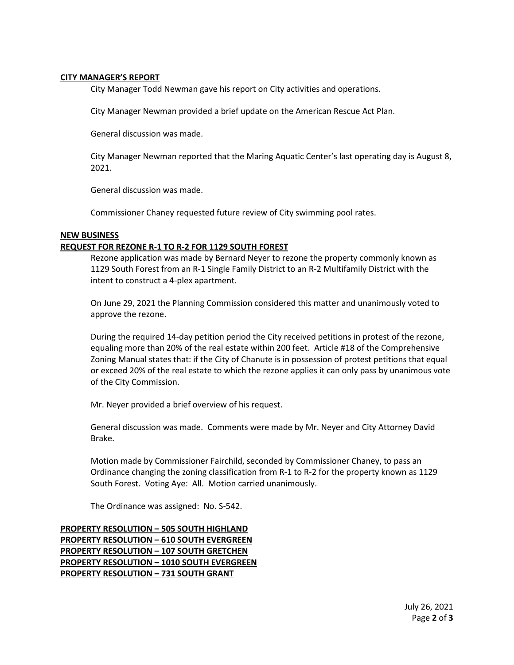## **CITY MANAGER'S REPORT**

City Manager Todd Newman gave his report on City activities and operations.

City Manager Newman provided a brief update on the American Rescue Act Plan.

General discussion was made.

City Manager Newman reported that the Maring Aquatic Center's last operating day is August 8, 2021.

General discussion was made.

Commissioner Chaney requested future review of City swimming pool rates.

# **NEW BUSINESS**

# **REQUEST FOR REZONE R-1 TO R-2 FOR 1129 SOUTH FOREST**

Rezone application was made by Bernard Neyer to rezone the property commonly known as 1129 South Forest from an R-1 Single Family District to an R-2 Multifamily District with the intent to construct a 4-plex apartment.

On June 29, 2021 the Planning Commission considered this matter and unanimously voted to approve the rezone.

During the required 14-day petition period the City received petitions in protest of the rezone, equaling more than 20% of the real estate within 200 feet. Article #18 of the Comprehensive Zoning Manual states that: if the City of Chanute is in possession of protest petitions that equal or exceed 20% of the real estate to which the rezone applies it can only pass by unanimous vote of the City Commission.

Mr. Neyer provided a brief overview of his request.

General discussion was made. Comments were made by Mr. Neyer and City Attorney David Brake.

Motion made by Commissioner Fairchild, seconded by Commissioner Chaney, to pass an Ordinance changing the zoning classification from R-1 to R-2 for the property known as 1129 South Forest. Voting Aye: All. Motion carried unanimously.

The Ordinance was assigned: No. S-542.

**PROPERTY RESOLUTION – 505 SOUTH HIGHLAND PROPERTY RESOLUTION – 610 SOUTH EVERGREEN PROPERTY RESOLUTION – 107 SOUTH GRETCHEN PROPERTY RESOLUTION – 1010 SOUTH EVERGREEN PROPERTY RESOLUTION – 731 SOUTH GRANT**